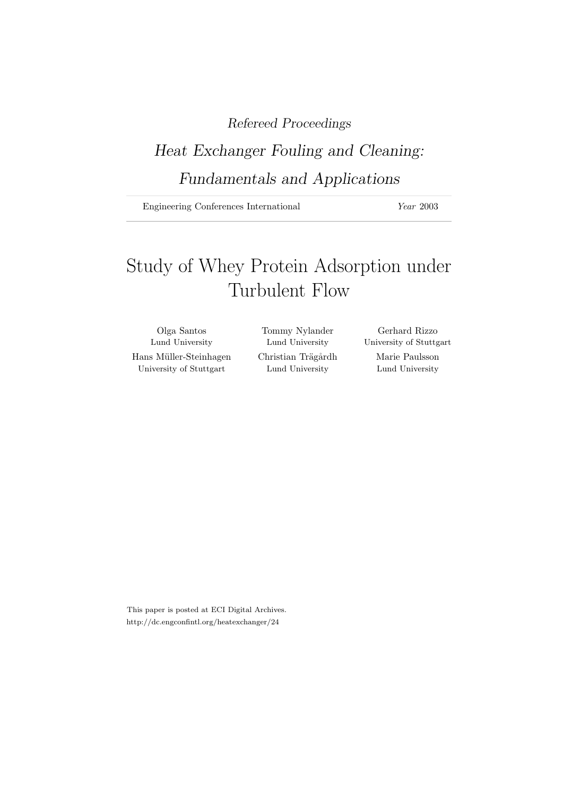# Refereed Proceedings

# Heat Exchanger Fouling and Cleaning: Fundamentals and Applications

Engineering Conferences International *Year* 2003

# Study of Whey Protein Adsorption under Turbulent Flow

Olga Santos Tommy Nylander Gerhard Rizzo Lund University Lund University University of Stuttgart Hans Müller-Steinhagen Christian Trägårdh Marie Paulsson University of Stuttgart Lund University Lund University

This paper is posted at ECI Digital Archives. http://dc.engconfintl.org/heatexchanger/24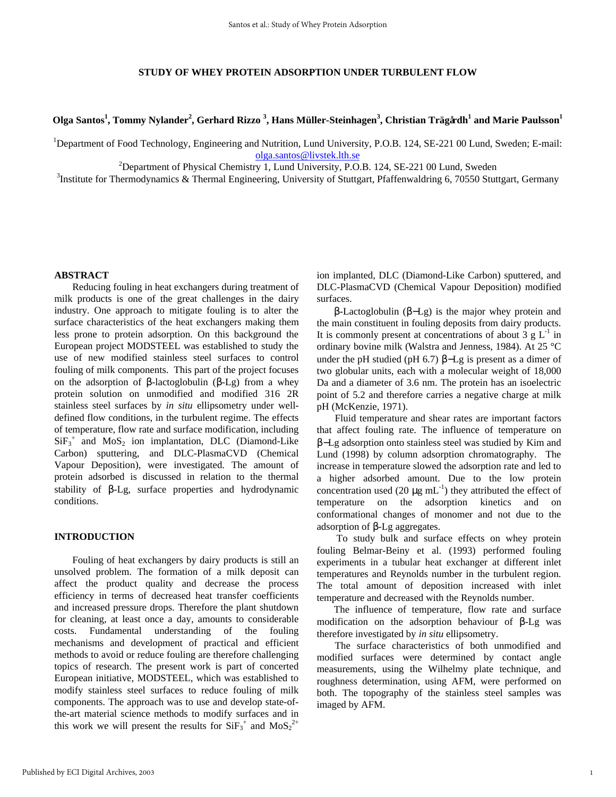# **STUDY OF WHEY PROTEIN ADSORPTION UNDER TURBULENT FLOW**

**Olga Santos<sup>1</sup> , Tommy Nylander<sup>2</sup> , Gerhard Rizzo <sup>3</sup> , Hans Müller-Steinhagen<sup>3</sup> , Christian Trägårdh<sup>1</sup> and Marie Paulsson<sup>1</sup>**

<sup>1</sup>Department of Food Technology, Engineering and Nutrition, Lund University, P.O.B. 124, SE-221 00 Lund, Sweden; E-mail: olga.santos@livstek.lth.se

<sup>2</sup>Department of Physical Chemistry 1, Lund University, P.O.B. 124, SE-221 00 Lund, Sweden

<sup>3</sup>Institute for Thermodynamics & Thermal Engineering, University of Stuttgart, Pfaffenwaldring 6, 70550 Stuttgart, Germany

## **ABSTRACT**

Reducing fouling in heat exchangers during treatment of milk products is one of the great challenges in the dairy industry. One approach to mitigate fouling is to alter the surface characteristics of the heat exchangers making them less prone to protein adsorption. On this background the European project MODSTEEL was established to study the use of new modified stainless steel surfaces to control fouling of milk components. This part of the project focuses on the adsorption of β-lactoglobulin (β-Lg) from a whey protein solution on unmodified and modified 316 2R stainless steel surfaces by *in situ* ellipsometry under welldefined flow conditions, in the turbulent regime. The effects of temperature, flow rate and surface modification, including  $SiF<sub>3</sub><sup>+</sup>$  and  $MoS<sub>2</sub>$  ion implantation, DLC (Diamond-Like Carbon) sputtering, and DLC-PlasmaCVD (Chemical Vapour Deposition), were investigated. The amount of protein adsorbed is discussed in relation to the thermal stability of β-Lg, surface properties and hydrodynamic conditions.

# **INTRODUCTION**

Fouling of heat exchangers by dairy products is still an unsolved problem. The formation of a milk deposit can affect the product quality and decrease the process efficiency in terms of decreased heat transfer coefficients and increased pressure drops. Therefore the plant shutdown for cleaning, at least once a day, amounts to considerable costs. Fundamental understanding of the fouling mechanisms and development of practical and efficient methods to avoid or reduce fouling are therefore challenging topics of research. The present work is part of concerted European initiative, MODSTEEL, which was established to modify stainless steel surfaces to reduce fouling of milk components. The approach was to use and develop state-ofthe-art material science methods to modify surfaces and in this work we will present the results for  $SiF_3^+$  and  $MoS_2^{2+}$ 

ion implanted, DLC (Diamond-Like Carbon) sputtered, and DLC-PlasmaCVD (Chemical Vapour Deposition) modified surfaces.

β-Lactoglobulin (β−Lg) is the major whey protein and the main constituent in fouling deposits from dairy products. It is commonly present at concentrations of about  $3 \text{ g L}^{-1}$  in ordinary bovine milk (Walstra and Jenness, 1984). At 25 °C under the pH studied (pH 6.7)  $\beta$ -Lg is present as a dimer of two globular units, each with a molecular weight of 18,000 Da and a diameter of 3.6 nm. The protein has an isoelectric point of 5.2 and therefore carries a negative charge at milk pH (McKenzie, 1971).

Fluid temperature and shear rates are important factors that affect fouling rate. The influence of temperature on β−Lg adsorption onto stainless steel was studied by Kim and Lund (1998) by column adsorption chromatography. The increase in temperature slowed the adsorption rate and led to a higher adsorbed amount. Due to the low protein concentration used (20  $\mu$ g mL<sup>-1</sup>) they attributed the effect of temperature on the adsorption kinetics and on conformational changes of monomer and not due to the adsorption of β-Lg aggregates.

 To study bulk and surface effects on whey protein fouling Belmar-Beiny et al. (1993) performed fouling experiments in a tubular heat exchanger at different inlet temperatures and Reynolds number in the turbulent region. The total amount of deposition increased with inlet temperature and decreased with the Reynolds number.

The influence of temperature, flow rate and surface modification on the adsorption behaviour of β-Lg was therefore investigated by *in situ* ellipsometry.

The surface characteristics of both unmodified and modified surfaces were determined by contact angle measurements, using the Wilhelmy plate technique, and roughness determination, using AFM, were performed on both. The topography of the stainless steel samples was imaged by AFM.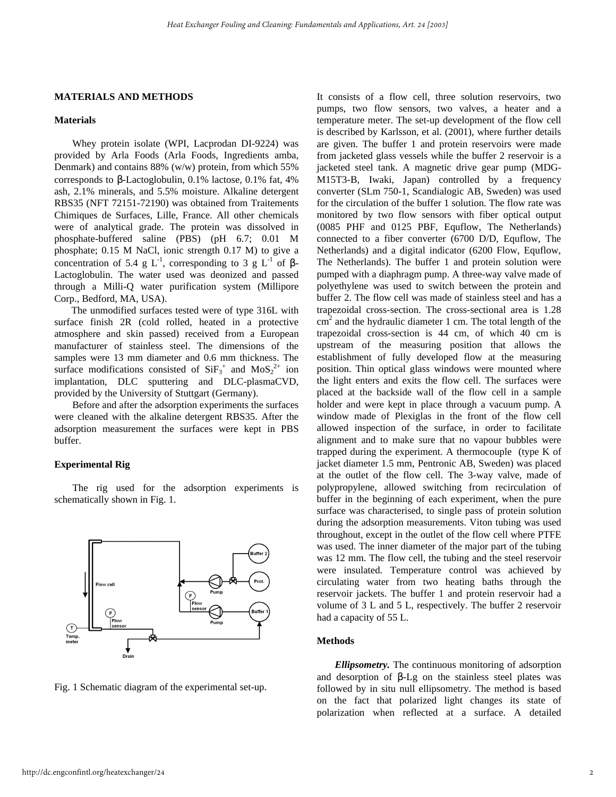### **MATERIALS AND METHODS**

### **Materials**

Whey protein isolate (WPI, Lacprodan DI-9224) was provided by Arla Foods (Arla Foods, Ingredients amba, Denmark) and contains 88% (w/w) protein, from which 55% corresponds to β-Lactoglobulin, 0.1% lactose, 0.1% fat, 4% ash, 2.1% minerals, and 5.5% moisture. Alkaline detergent RBS35 (NFT 72151-72190) was obtained from Traitements Chimiques de Surfaces, Lille, France. All other chemicals were of analytical grade. The protein was dissolved in phosphate-buffered saline (PBS) (pH 6.7; 0.01 M phosphate; 0.15 M NaCl, ionic strength 0.17 M) to give a concentration of 5.4 g L<sup>-1</sup>, corresponding to 3 g L<sup>-1</sup> of  $\beta$ -Lactoglobulin. The water used was deonized and passed through a Milli-Q water purification system (Millipore Corp., Bedford, MA, USA).

The unmodified surfaces tested were of type 316L with surface finish 2R (cold rolled, heated in a protective atmosphere and skin passed) received from a European manufacturer of stainless steel. The dimensions of the samples were 13 mm diameter and 0.6 mm thickness. The surface modifications consisted of  $SiF_3^+$  and  $MoS_2^{2+}$  ion implantation, DLC sputtering and DLC-plasmaCVD, provided by the University of Stuttgart (Germany).

Before and after the adsorption experiments the surfaces were cleaned with the alkaline detergent RBS35. After the adsorption measurement the surfaces were kept in PBS buffer.

#### **Experimental Rig**

The rig used for the adsorption experiments is schematically shown in Fig. 1.



Fig. 1 Schematic diagram of the experimental set-up.

It consists of a flow cell, three solution reservoirs, two pumps, two flow sensors, two valves, a heater and a temperature meter. The set-up development of the flow cell is described by Karlsson, et al. (2001), where further details are given. The buffer 1 and protein reservoirs were made from jacketed glass vessels while the buffer 2 reservoir is a jacketed steel tank. A magnetic drive gear pump (MDG-M15T3-B, Iwaki, Japan) controlled by a frequency converter (SLm 750-1, Scandialogic AB, Sweden) was used for the circulation of the buffer 1 solution. The flow rate was monitored by two flow sensors with fiber optical output (0085 PHF and 0125 PBF, Equflow, The Netherlands) connected to a fiber converter (6700 D/D, Equflow, The Netherlands) and a digital indicator (6200 Flow, Equflow, The Netherlands). The buffer 1 and protein solution were pumped with a diaphragm pump. A three-way valve made of polyethylene was used to switch between the protein and buffer 2. The flow cell was made of stainless steel and has a trapezoidal cross-section. The cross-sectional area is 1.28  $\text{cm}^2$  and the hydraulic diameter 1 cm. The total length of the trapezoidal cross-section is 44 cm, of which 40 cm is upstream of the measuring position that allows the establishment of fully developed flow at the measuring position. Thin optical glass windows were mounted where the light enters and exits the flow cell. The surfaces were placed at the backside wall of the flow cell in a sample holder and were kept in place through a vacuum pump. A window made of Plexiglas in the front of the flow cell allowed inspection of the surface, in order to facilitate alignment and to make sure that no vapour bubbles were trapped during the experiment. A thermocouple (type K of jacket diameter 1.5 mm, Pentronic AB, Sweden) was placed at the outlet of the flow cell. The 3-way valve, made of polypropylene, allowed switching from recirculation of buffer in the beginning of each experiment, when the pure surface was characterised, to single pass of protein solution during the adsorption measurements. Viton tubing was used throughout, except in the outlet of the flow cell where PTFE was used. The inner diameter of the major part of the tubing was 12 mm. The flow cell, the tubing and the steel reservoir were insulated. Temperature control was achieved by circulating water from two heating baths through the reservoir jackets. The buffer 1 and protein reservoir had a volume of 3 L and 5 L, respectively. The buffer 2 reservoir had a capacity of 55 L.

# **Methods**

*Ellipsometry.* The continuous monitoring of adsorption and desorption of β-Lg on the stainless steel plates was followed by in situ null ellipsometry. The method is based on the fact that polarized light changes its state of polarization when reflected at a surface. A detailed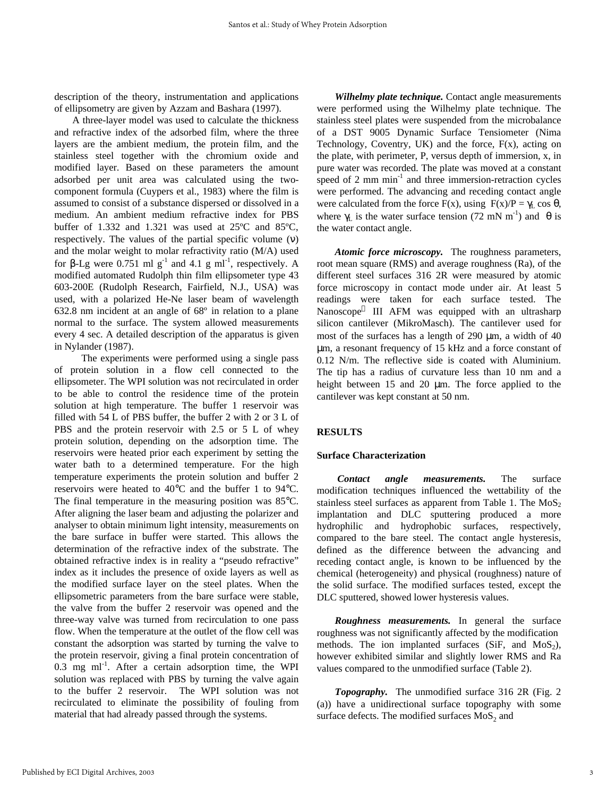description of the theory, instrumentation and applications of ellipsometry are given by Azzam and Bashara (1997).

A three-layer model was used to calculate the thickness and refractive index of the adsorbed film, where the three layers are the ambient medium, the protein film, and the stainless steel together with the chromium oxide and modified layer. Based on these parameters the amount adsorbed per unit area was calculated using the twocomponent formula (Cuypers et al., 1983) where the film is assumed to consist of a substance dispersed or dissolved in a medium. An ambient medium refractive index for PBS buffer of 1.332 and 1.321 was used at 25ºC and 85ºC, respectively. The values of the partial specific volume  $(v)$ and the molar weight to molar refractivity ratio (M/A) used for β-Lg were 0.751 ml  $g^{-1}$  and 4.1 g ml<sup>-1</sup>, respectively. A modified automated Rudolph thin film ellipsometer type 43 603-200E (Rudolph Research, Fairfield, N.J., USA) was used, with a polarized He-Ne laser beam of wavelength 632.8 nm incident at an angle of 68º in relation to a plane normal to the surface. The system allowed measurements every 4 sec. A detailed description of the apparatus is given in Nylander (1987).

The experiments were performed using a single pass of protein solution in a flow cell connected to the ellipsometer. The WPI solution was not recirculated in order to be able to control the residence time of the protein solution at high temperature. The buffer 1 reservoir was filled with 54 L of PBS buffer, the buffer 2 with 2 or 3 L of PBS and the protein reservoir with 2.5 or 5 L of whey protein solution, depending on the adsorption time. The reservoirs were heated prior each experiment by setting the water bath to a determined temperature. For the high temperature experiments the protein solution and buffer 2 reservoirs were heated to 40°C and the buffer 1 to 94°C. The final temperature in the measuring position was 85°C. After aligning the laser beam and adjusting the polarizer and analyser to obtain minimum light intensity, measurements on the bare surface in buffer were started. This allows the determination of the refractive index of the substrate. The obtained refractive index is in reality a "pseudo refractive" index as it includes the presence of oxide layers as well as the modified surface layer on the steel plates. When the ellipsometric parameters from the bare surface were stable, the valve from the buffer 2 reservoir was opened and the three-way valve was turned from recirculation to one pass flow. When the temperature at the outlet of the flow cell was constant the adsorption was started by turning the valve to the protein reservoir, giving a final protein concentration of  $0.3$  mg ml<sup>-1</sup>. After a certain adsorption time, the WPI solution was replaced with PBS by turning the valve again to the buffer 2 reservoir. The WPI solution was not recirculated to eliminate the possibility of fouling from material that had already passed through the systems.

*Wilhelmy plate technique.* Contact angle measurements were performed using the Wilhelmy plate technique. The stainless steel plates were suspended from the microbalance of a DST 9005 Dynamic Surface Tensiometer (Nima Technology, Coventry, UK) and the force,  $F(x)$ , acting on the plate, with perimeter, P, versus depth of immersion, x, in pure water was recorded. The plate was moved at a constant speed of  $2 \text{ mm min}^{-1}$  and three immersion-retraction cycles were performed. The advancing and receding contact angle were calculated from the force F(x), using  $F(x)/P = \gamma_L \cos \theta$ , where  $\gamma_L$  is the water surface tension (72 mN m<sup>-1</sup>) and  $\theta$  is the water contact angle.

*Atomic force microscopy.* The roughness parameters, root mean square (RMS) and average roughness (Ra), of the different steel surfaces 316 2R were measured by atomic force microscopy in contact mode under air. At least 5 readings were taken for each surface tested. The Nanoscope<sup>®</sup> III AFM was equipped with an ultrasharp silicon cantilever (MikroMasch). The cantilever used for most of the surfaces has a length of 290 μm, a width of 40 μm, a resonant frequency of 15 kHz and a force constant of 0.12 N/m. The reflective side is coated with Aluminium. The tip has a radius of curvature less than 10 nm and a height between 15 and 20 μm. The force applied to the cantilever was kept constant at 50 nm.

# **RESULTS**

#### **Surface Characterization**

 *Contact angle measurements.* The surface modification techniques influenced the wettability of the stainless steel surfaces as apparent from Table 1. The  $MoS<sub>2</sub>$ implantation and DLC sputtering produced a more hydrophilic and hydrophobic surfaces, respectively, compared to the bare steel. The contact angle hysteresis, defined as the difference between the advancing and receding contact angle, is known to be influenced by the chemical (heterogeneity) and physical (roughness) nature of the solid surface. The modified surfaces tested, except the DLC sputtered, showed lower hysteresis values.

*Roughness measurements.* In general the surface roughness was not significantly affected by the modification methods. The ion implanted surfaces (SiF, and  $MoS<sub>2</sub>$ ), however exhibited similar and slightly lower RMS and Ra values compared to the unmodified surface (Table 2).

*Topography.* The unmodified surface 316 2R (Fig. 2 (a)) have a unidirectional surface topography with some surface defects. The modified surfaces  $MoS_2$  and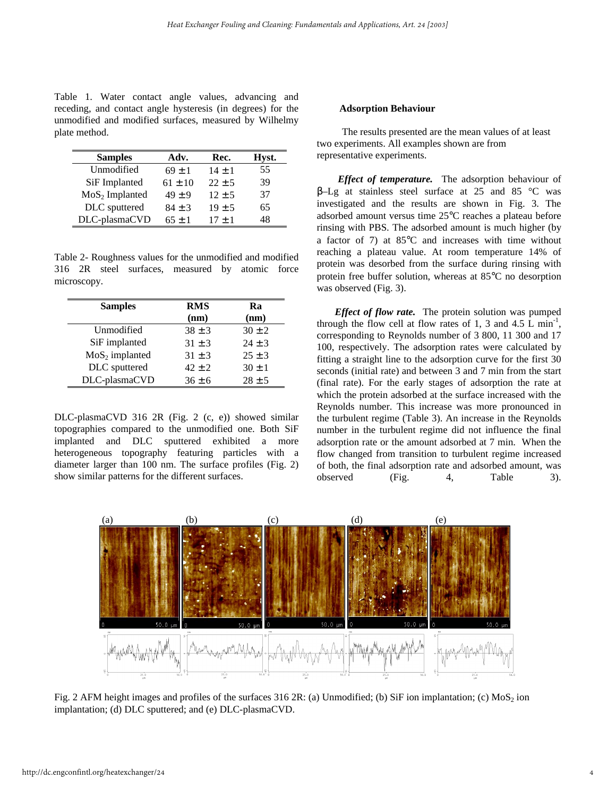Table 1. Water contact angle values, advancing and receding, and contact angle hysteresis (in degrees) for the unmodified and modified surfaces, measured by Wilhelmy plate method.

| <b>Samples</b>   | Adv.        | Rec.       | Hyst. |
|------------------|-------------|------------|-------|
| Unmodified       | $69 \pm 1$  | $14 + 1$   | 55    |
| SiF Implanted    | $61 \pm 10$ | $22 \pm 5$ | 39    |
| $MoS2$ Implanted | $49 \pm 9$  | $12 \pm 5$ | 37    |
| DLC sputtered    | $84 \pm 3$  | $19 \pm 5$ | 65    |
| DLC-plasmaCVD    | $65 + 1$    | $17 + 1$   | 48    |

Table 2- Roughness values for the unmodified and modified 316 2R steel surfaces, measured by atomic force microscopy.

| <b>Samples</b>   | <b>RMS</b><br>(nm) | Ra<br>(nm) |
|------------------|--------------------|------------|
| Unmodified       | $38 \pm 3$         | $30 \pm 2$ |
| SiF implanted    | $31 \pm 3$         | $24 \pm 3$ |
| $MoS2$ implanted | $31 \pm 3$         | $25 + 3$   |
| DLC sputtered    | $42 \pm 2$         | $30 \pm 1$ |
| DLC-plasmaCVD    | $36 \pm 6$         | $28 \pm 5$ |

DLC-plasmaCVD 316 2R (Fig. 2 (c, e)) showed similar topographies compared to the unmodified one. Both SiF implanted and DLC sputtered exhibited a more heterogeneous topography featuring particles with a diameter larger than 100 nm. The surface profiles (Fig. 2) show similar patterns for the different surfaces.

#### **Adsorption Behaviour**

 The results presented are the mean values of at least two experiments. All examples shown are from representative experiments.

*Effect of temperature.* The adsorption behaviour of β–Lg at stainless steel surface at 25 and 85 °C was investigated and the results are shown in Fig. 3. The adsorbed amount versus time 25°C reaches a plateau before rinsing with PBS. The adsorbed amount is much higher (by a factor of 7) at 85°C and increases with time without reaching a plateau value. At room temperature 14% of protein was desorbed from the surface during rinsing with protein free buffer solution, whereas at 85°C no desorption was observed (Fig. 3).

*Effect of flow rate.* The protein solution was pumped through the flow cell at flow rates of 1, 3 and  $4.5 \text{ L min}^{-1}$ , corresponding to Reynolds number of 3 800, 11 300 and 17 100, respectively. The adsorption rates were calculated by fitting a straight line to the adsorption curve for the first 30 seconds (initial rate) and between 3 and 7 min from the start (final rate). For the early stages of adsorption the rate at which the protein adsorbed at the surface increased with the Reynolds number. This increase was more pronounced in the turbulent regime (Table 3). An increase in the Reynolds number in the turbulent regime did not influence the final adsorption rate or the amount adsorbed at 7 min. When the flow changed from transition to turbulent regime increased of both, the final adsorption rate and adsorbed amount, was observed (Fig. 4, Table 3).



Fig. 2 AFM height images and profiles of the surfaces 316 2R: (a) Unmodified; (b) SiF ion implantation; (c)  $MoS<sub>2</sub>$  ion implantation; (d) DLC sputtered; and (e) DLC-plasmaCVD.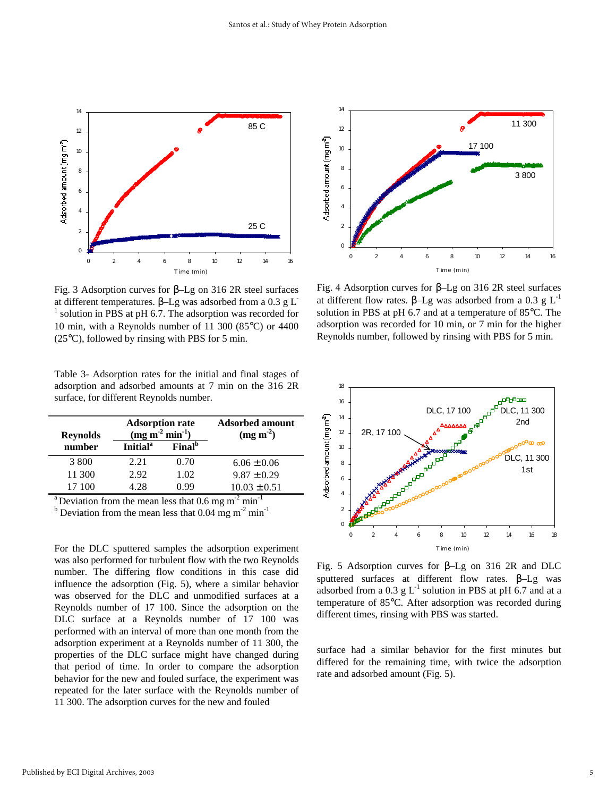

Fig. 3 Adsorption curves for β–Lg on 316 2R steel surfaces at different temperatures. β–Lg was adsorbed from a 0.3 g L-<sup>1</sup> solution in PBS at pH 6.7. The adsorption was recorded for 10 min, with a Reynolds number of 11 300 (85°C) or 4400 (25°C), followed by rinsing with PBS for 5 min.

Table 3- Adsorption rates for the initial and final stages of adsorption and adsorbed amounts at 7 min on the 316 2R surface, for different Reynolds number.

| <b>Reynolds</b> | <b>Adsorption rate</b><br>(mg m <sup>2</sup> min <sup>1</sup> ) |                           | <b>Adsorbed amount</b><br>(mg m <sup>2</sup> ) |
|-----------------|-----------------------------------------------------------------|---------------------------|------------------------------------------------|
| number          | <b>Initial</b> <sup>a</sup>                                     | <b>Final</b> <sup>b</sup> |                                                |
| 3 800           | 2.21                                                            | 0.70                      | $6.06 \pm 0.06$                                |
| 11 300          | 2.92                                                            | 1.02                      | $9.87 \pm 0.29$                                |
| 17 100          | 4 28                                                            | N 99                      | $10.03 \pm 0.51$                               |

<sup>a</sup> Deviation from the mean less that 0.6 mg m<sup>-2</sup> min<sup>-1</sup>

<sup>b</sup> Deviation from the mean less that 0.04 mg m<sup>-2</sup> min<sup>-1</sup>

For the DLC sputtered samples the adsorption experiment was also performed for turbulent flow with the two Reynolds number. The differing flow conditions in this case did influence the adsorption (Fig. 5), where a similar behavior was observed for the DLC and unmodified surfaces at a Reynolds number of 17 100. Since the adsorption on the DLC surface at a Reynolds number of 17 100 was performed with an interval of more than one month from the adsorption experiment at a Reynolds number of 11 300, the properties of the DLC surface might have changed during that period of time. In order to compare the adsorption behavior for the new and fouled surface, the experiment was repeated for the later surface with the Reynolds number of 11 300. The adsorption curves for the new and fouled



Fig. 4 Adsorption curves for β–Lg on 316 2R steel surfaces at different flow rates. β–Lg was adsorbed from a 0.3 g  $L^{-1}$ solution in PBS at pH 6.7 and at a temperature of 85°C. The adsorption was recorded for 10 min, or 7 min for the higher Reynolds number, followed by rinsing with PBS for 5 min.



Fig. 5 Adsorption curves for β–Lg on 316 2R and DLC sputtered surfaces at different flow rates. β–Lg was adsorbed from a  $0.3 \text{ g L}^{-1}$  solution in PBS at pH 6.7 and at a temperature of 85°C. After adsorption was recorded during different times, rinsing with PBS was started.

surface had a similar behavior for the first minutes but differed for the remaining time, with twice the adsorption rate and adsorbed amount (Fig. 5).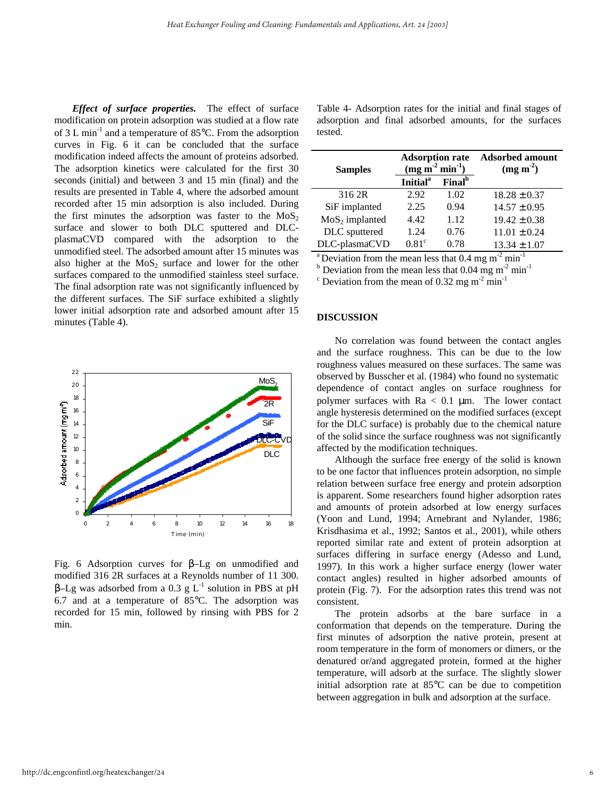*Effect of surface properties.* The effect of surface modification on protein adsorption was studied at a flow rate of 3 L min<sup>-1</sup> and a temperature of 85 $^{\circ}$ C. From the adsorption curves in Fig. 6 it can be concluded that the surface modification indeed affects the amount of proteins adsorbed. The adsorption kinetics were calculated for the first 30 seconds (initial) and between 3 and 15 min (final) and the results are presented in Table 4, where the adsorbed amount recorded after 15 min adsorption is also included. During the first minutes the adsorption was faster to the  $MoS<sub>2</sub>$ surface and slower to both DLC sputtered and DLCplasmaCVD compared with the adsorption to the unmodified steel. The adsorbed amount after 15 minutes was also higher at the  $MoS<sub>2</sub>$  surface and lower for the other surfaces compared to the unmodified stainless steel surface. The final adsorption rate was not significantly influenced by the different surfaces. The SiF surface exhibited a slightly lower initial adsorption rate and adsorbed amount after 15 minutes (Table 4).



Fig. 6 Adsorption curves for β–Lg on unmodified and modified 316 2R surfaces at a Reynolds number of 11 300.  $β$ -Lg was adsorbed from a 0.3 g L<sup>-1</sup> solution in PBS at pH 6.7 and at a temperature of 85°C. The adsorption was recorded for 15 min, followed by rinsing with PBS for 2 min.

Table 4- Adsorption rates for the initial and final stages of adsorption and final adsorbed amounts, for the surfaces tested.

| <b>Samples</b>   | <b>Adsorption rate</b><br>(mg m <sup>2</sup> min <sup>1</sup> ) |                           | <b>Adsorbed amount</b><br>(mg m <sup>2</sup> ) |
|------------------|-----------------------------------------------------------------|---------------------------|------------------------------------------------|
|                  | <b>Initial</b> <sup>a</sup>                                     | <b>Final</b> <sup>b</sup> |                                                |
| 316 2R           | 2.92                                                            | 1.02                      | $18.28 \pm 0.37$                               |
| SiF implanted    | 2.25                                                            | 0.94                      | $14.57 \pm 0.95$                               |
| $MoS2$ implanted | 4.42                                                            | 1.12                      | $19.42 \pm 0.38$                               |
| DLC sputtered    | 1.24                                                            | 0.76                      | $11.01 \pm 0.24$                               |
| DLC-plasmaCVD    | $0.81^\circ$                                                    | 0.78                      | $13.34 \pm 1.07$                               |

<sup>a</sup> Deviation from the mean less that 0.4 mg m<sup>-2</sup> min<sup>-1</sup>

<sup>b</sup> Deviation from the mean less that  $0.04$  mg m<sup>-2</sup> min<sup>-1</sup>

<sup>c</sup> Deviation from the mean of 0.32 mg m<sup>-2</sup> min<sup>-1</sup>

# **DISCUSSION**

No correlation was found between the contact angles and the surface roughness. This can be due to the low roughness values measured on these surfaces. The same was observed by Busscher et al. (1984) who found no systematic dependence of contact angles on surface roughness for polymer surfaces with  $Ra < 0.1 \mu m$ . The lower contact angle hysteresis determined on the modified surfaces (except for the DLC surface) is probably due to the chemical nature of the solid since the surface roughness was not significantly affected by the modification techniques.

Although the surface free energy of the solid is known to be one factor that influences protein adsorption, no simple relation between surface free energy and protein adsorption is apparent. Some researchers found higher adsorption rates and amounts of protein adsorbed at low energy surfaces (Yoon and Lund, 1994; Arnebrant and Nylander, 1986; Krisdhasima et al., 1992; Santos et al., 2001), while others reported similar rate and extent of protein adsorption at surfaces differing in surface energy (Adesso and Lund, 1997). In this work a higher surface energy (lower water contact angles) resulted in higher adsorbed amounts of protein (Fig. 7). For the adsorption rates this trend was not consistent.

The protein adsorbs at the bare surface in a conformation that depends on the temperature. During the first minutes of adsorption the native protein, present at room temperature in the form of monomers or dimers, or the denatured or/and aggregated protein, formed at the higher temperature, will adsorb at the surface. The slightly slower initial adsorption rate at 85°C can be due to competition between aggregation in bulk and adsorption at the surface.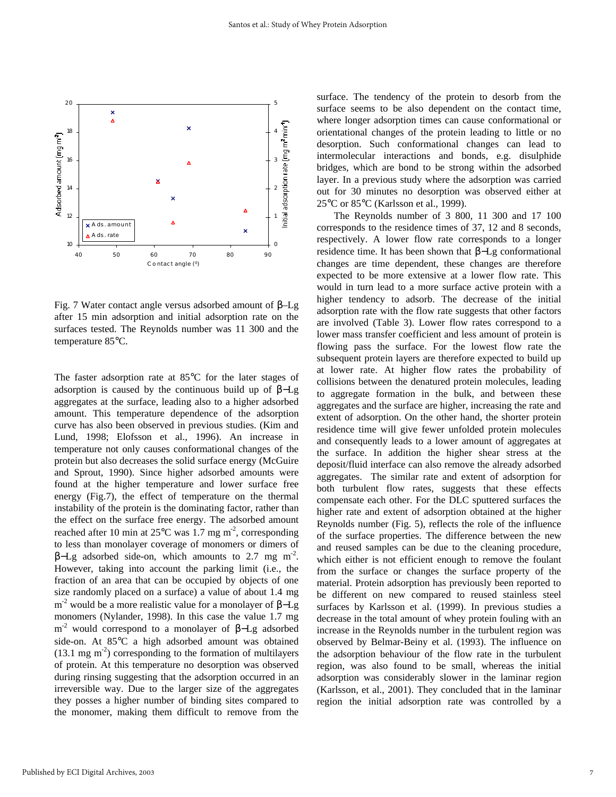

Fig. 7 Water contact angle versus adsorbed amount of β–Lg after 15 min adsorption and initial adsorption rate on the surfaces tested. The Reynolds number was 11 300 and the temperature 85°C.

The faster adsorption rate at 85°C for the later stages of adsorption is caused by the continuous build up of β−Lg aggregates at the surface, leading also to a higher adsorbed amount. This temperature dependence of the adsorption curve has also been observed in previous studies. (Kim and Lund, 1998; Elofsson et al., 1996). An increase in temperature not only causes conformational changes of the protein but also decreases the solid surface energy (McGuire and Sprout, 1990). Since higher adsorbed amounts were found at the higher temperature and lower surface free energy (Fig.7), the effect of temperature on the thermal instability of the protein is the dominating factor, rather than the effect on the surface free energy. The adsorbed amount reached after 10 min at  $25^{\circ}$ C was 1.7 mg m<sup>-2</sup>, corresponding to less than monolayer coverage of monomers or dimers of β–Lg adsorbed side-on, which amounts to 2.7 mg m<sup>-2</sup>. However, taking into account the parking limit (i.e., the fraction of an area that can be occupied by objects of one size randomly placed on a surface) a value of about 1.4 mg m<sup>-2</sup> would be a more realistic value for a monolayer of β–Lg monomers (Nylander, 1998). In this case the value 1.7 mg m<sup>-2</sup> would correspond to a monolayer of  $β$ -Lg adsorbed side-on. At 85°C a high adsorbed amount was obtained  $(13.1 \text{ mg m}^2)$  corresponding to the formation of multilayers of protein. At this temperature no desorption was observed during rinsing suggesting that the adsorption occurred in an irreversible way. Due to the larger size of the aggregates they posses a higher number of binding sites compared to the monomer, making them difficult to remove from the surface. The tendency of the protein to desorb from the surface seems to be also dependent on the contact time, where longer adsorption times can cause conformational or orientational changes of the protein leading to little or no desorption. Such conformational changes can lead to intermolecular interactions and bonds, e.g. disulphide bridges, which are bond to be strong within the adsorbed layer. In a previous study where the adsorption was carried out for 30 minutes no desorption was observed either at 25°C or 85°C (Karlsson et al., 1999).

The Reynolds number of 3 800, 11 300 and 17 100 corresponds to the residence times of 37, 12 and 8 seconds, respectively. A lower flow rate corresponds to a longer residence time. It has been shown that β−Lg conformational changes are time dependent, these changes are therefore expected to be more extensive at a lower flow rate. This would in turn lead to a more surface active protein with a higher tendency to adsorb. The decrease of the initial adsorption rate with the flow rate suggests that other factors are involved (Table 3). Lower flow rates correspond to a lower mass transfer coefficient and less amount of protein is flowing pass the surface. For the lowest flow rate the subsequent protein layers are therefore expected to build up at lower rate. At higher flow rates the probability of collisions between the denatured protein molecules, leading to aggregate formation in the bulk, and between these aggregates and the surface are higher, increasing the rate and extent of adsorption. On the other hand, the shorter protein residence time will give fewer unfolded protein molecules and consequently leads to a lower amount of aggregates at the surface. In addition the higher shear stress at the deposit/fluid interface can also remove the already adsorbed aggregates. The similar rate and extent of adsorption for both turbulent flow rates, suggests that these effects compensate each other. For the DLC sputtered surfaces the higher rate and extent of adsorption obtained at the higher Reynolds number (Fig. 5), reflects the role of the influence of the surface properties. The difference between the new and reused samples can be due to the cleaning procedure, which either is not efficient enough to remove the foulant from the surface or changes the surface property of the material. Protein adsorption has previously been reported to be different on new compared to reused stainless steel surfaces by Karlsson et al. (1999). In previous studies a decrease in the total amount of whey protein fouling with an increase in the Reynolds number in the turbulent region was observed by Belmar-Beiny et al. (1993). The influence on the adsorption behaviour of the flow rate in the turbulent region, was also found to be small, whereas the initial adsorption was considerably slower in the laminar region (Karlsson, et al., 2001). They concluded that in the laminar region the initial adsorption rate was controlled by a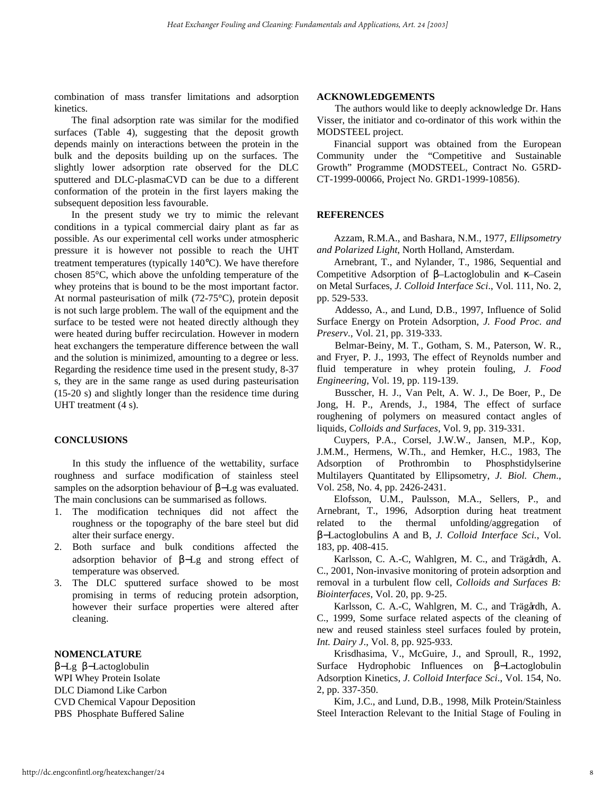combination of mass transfer limitations and adsorption kinetics.

The final adsorption rate was similar for the modified surfaces (Table 4), suggesting that the deposit growth depends mainly on interactions between the protein in the bulk and the deposits building up on the surfaces. The slightly lower adsorption rate observed for the DLC sputtered and DLC-plasmaCVD can be due to a different conformation of the protein in the first layers making the subsequent deposition less favourable.

In the present study we try to mimic the relevant conditions in a typical commercial dairy plant as far as possible. As our experimental cell works under atmospheric pressure it is however not possible to reach the UHT treatment temperatures (typically 140°C). We have therefore chosen 85°C, which above the unfolding temperature of the whey proteins that is bound to be the most important factor. At normal pasteurisation of milk (72-75°C), protein deposit is not such large problem. The wall of the equipment and the surface to be tested were not heated directly although they were heated during buffer recirculation. However in modern heat exchangers the temperature difference between the wall and the solution is minimized, amounting to a degree or less. Regarding the residence time used in the present study, 8-37 s, they are in the same range as used during pasteurisation (15-20 s) and slightly longer than the residence time during UHT treatment (4 s).

#### **CONCLUSIONS**

In this study the influence of the wettability, surface roughness and surface modification of stainless steel samples on the adsorption behaviour of β−Lg was evaluated. The main conclusions can be summarised as follows.

- 1. The modification techniques did not affect the roughness or the topography of the bare steel but did alter their surface energy.
- 2. Both surface and bulk conditions affected the adsorption behavior of β−Lg and strong effect of temperature was observed.
- 3. The DLC sputtered surface showed to be most promising in terms of reducing protein adsorption, however their surface properties were altered after cleaning.

### **NOMENCLATURE**

β−Lg β−Lactoglobulin WPI Whey Protein Isolate DLC Diamond Like Carbon CVD Chemical Vapour Deposition PBS Phosphate Buffered Saline

#### **ACKNOWLEDGEMENTS**

The authors would like to deeply acknowledge Dr. Hans Visser, the initiator and co-ordinator of this work within the MODSTEEL project.

Financial support was obtained from the European Community under the "Competitive and Sustainable Growth" Programme (MODSTEEL, Contract No. G5RD-CT-1999-00066, Project No. GRD1-1999-10856).

### **REFERENCES**

Azzam, R.M.A., and Bashara, N.M., 1977, *Ellipsometry and Polarized Light*, North Holland, Amsterdam.

Arnebrant, T., and Nylander, T., 1986, Sequential and Competitive Adsorption of β–Lactoglobulin and κ–Casein on Metal Surfaces, *J. Colloid Interface Sci*., Vol. 111, No. 2, pp. 529-533.

Addesso, A., and Lund, D.B., 1997, Influence of Solid Surface Energy on Protein Adsorption, *J. Food Proc. and Preserv*., Vol. 21, pp. 319-333.

Belmar-Beiny, M. T., Gotham, S. M., Paterson, W. R., and Fryer, P. J., 1993, The effect of Reynolds number and fluid temperature in whey protein fouling, *J. Food Engineering*, Vol. 19, pp. 119-139.

Busscher, H. J., Van Pelt, A. W. J., De Boer, P., De Jong, H. P., Arends, J., 1984, The effect of surface roughening of polymers on measured contact angles of liquids, *Colloids and Surfaces*, Vol. 9, pp. 319-331.

Cuypers, P.A., Corsel, J.W.W., Jansen, M.P., Kop, J.M.M., Hermens, W.Th., and Hemker, H.C., 1983, The Adsorption of Prothrombin to Phosphstidylserine Multilayers Quantitated by Ellipsometry, *J. Biol. Chem*., Vol. 258, No. 4, pp. 2426-2431.

Elofsson, U.M., Paulsson, M.A., Sellers, P., and Arnebrant, T., 1996, Adsorption during heat treatment related to the thermal unfolding/aggregation of β−Lactoglobulins A and B, *J. Colloid Interface Sci.*, Vol. 183, pp. 408-415.

Karlsson, C. A.-C, Wahlgren, M. C., and Trägårdh, A. C., 2001, Non-invasive monitoring of protein adsorption and removal in a turbulent flow cell, *Colloids and Surfaces B: Biointerfaces*, Vol. 20, pp. 9-25.

Karlsson, C. A.-C, Wahlgren, M. C., and Trägårdh, A. C., 1999, Some surface related aspects of the cleaning of new and reused stainless steel surfaces fouled by protein, *Int. Dairy J*., Vol. 8, pp. 925-933.

Krisdhasima, V., McGuire, J., and Sproull, R., 1992, Surface Hydrophobic Influences on β−Lactoglobulin Adsorption Kinetics*, J. Colloid Interface Sci*., Vol. 154, No. 2, pp. 337-350.

Kim, J.C., and Lund, D.B., 1998, Milk Protein/Stainless Steel Interaction Relevant to the Initial Stage of Fouling in